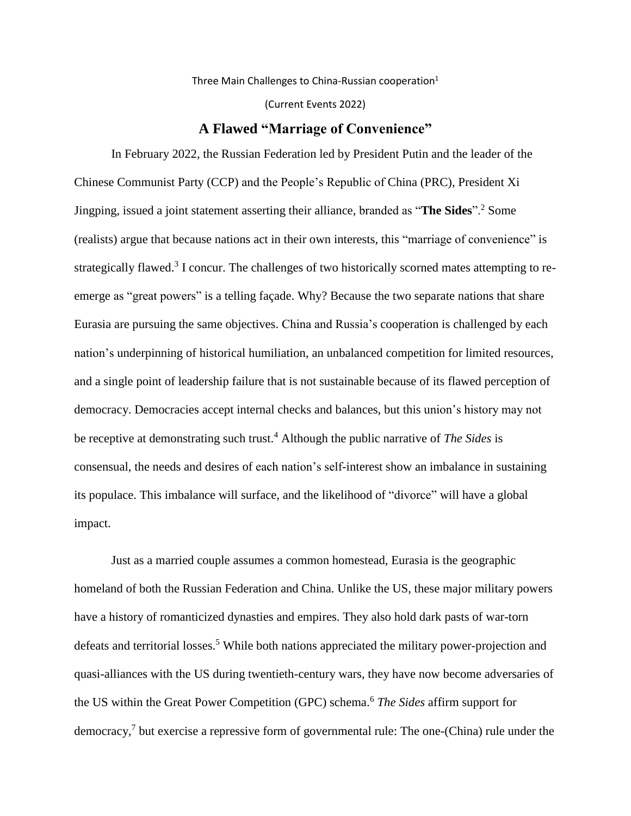Three Main Challenges to China-Russian cooperation $1$ 

(Current Events 2022)

## **A Flawed "Marriage of Convenience"**

In February 2022, the Russian Federation led by President Putin and the leader of the Chinese Communist Party (CCP) and the People's Republic of China (PRC), President Xi Jingping, issued a joint statement asserting their alliance, branded as "**The Sides**".<sup>2</sup> Some (realists) argue that because nations act in their own interests, this "marriage of convenience" is strategically flawed.<sup>3</sup> I concur. The challenges of two historically scorned mates attempting to reemerge as "great powers" is a telling façade. Why? Because the two separate nations that share Eurasia are pursuing the same objectives. China and Russia's cooperation is challenged by each nation's underpinning of historical humiliation, an unbalanced competition for limited resources, and a single point of leadership failure that is not sustainable because of its flawed perception of democracy. Democracies accept internal checks and balances, but this union's history may not be receptive at demonstrating such trust.<sup>4</sup> Although the public narrative of *The Sides* is consensual, the needs and desires of each nation's self-interest show an imbalance in sustaining its populace. This imbalance will surface, and the likelihood of "divorce" will have a global impact.

Just as a married couple assumes a common homestead, Eurasia is the geographic homeland of both the Russian Federation and China. Unlike the US, these major military powers have a history of romanticized dynasties and empires. They also hold dark pasts of war-torn defeats and territorial losses.<sup>5</sup> While both nations appreciated the military power-projection and quasi-alliances with the US during twentieth-century wars, they have now become adversaries of the US within the Great Power Competition (GPC) schema. <sup>6</sup> *The Sides* affirm support for democracy, 7 but exercise a repressive form of governmental rule: The one-(China) rule under the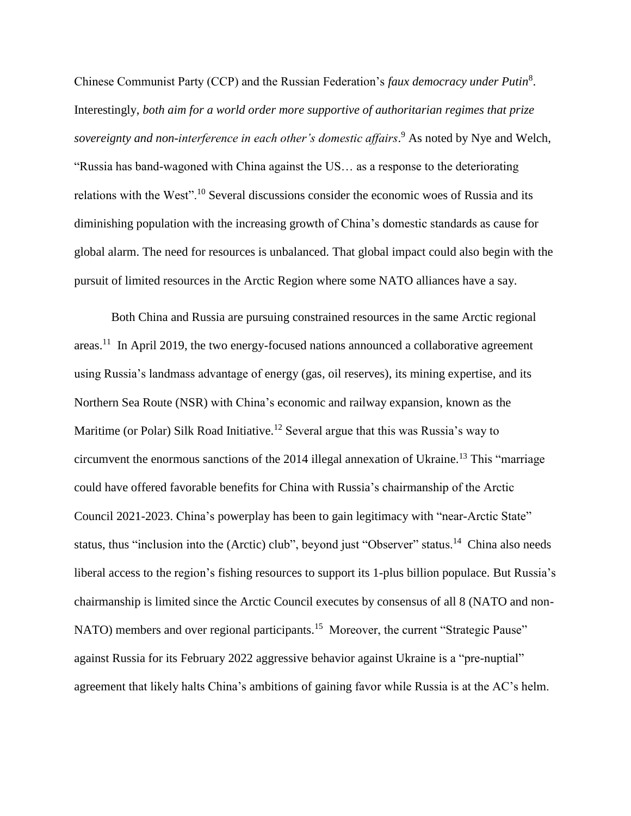Chinese Communist Party (CCP) and the Russian Federation's *faux democracy under Putin*<sup>8</sup> . Interestingly, *both aim for a world order more supportive of authoritarian regimes that prize sovereignty and non-interference in each other's domestic affairs*. <sup>9</sup> As noted by Nye and Welch, "Russia has band-wagoned with China against the US… as a response to the deteriorating relations with the West".<sup>10</sup> Several discussions consider the economic woes of Russia and its diminishing population with the increasing growth of China's domestic standards as cause for global alarm. The need for resources is unbalanced. That global impact could also begin with the pursuit of limited resources in the Arctic Region where some NATO alliances have a say.

Both China and Russia are pursuing constrained resources in the same Arctic regional areas.<sup>11</sup> In April 2019, the two energy-focused nations announced a collaborative agreement using Russia's landmass advantage of energy (gas, oil reserves), its mining expertise, and its Northern Sea Route (NSR) with China's economic and railway expansion, known as the Maritime (or Polar) Silk Road Initiative.<sup>12</sup> Several argue that this was Russia's way to circumvent the enormous sanctions of the  $2014$  illegal annexation of Ukraine.<sup>13</sup> This "marriage" could have offered favorable benefits for China with Russia's chairmanship of the Arctic Council 2021-2023. China's powerplay has been to gain legitimacy with "near-Arctic State" status, thus "inclusion into the (Arctic) club", beyond just "Observer" status.<sup>14</sup> China also needs liberal access to the region's fishing resources to support its 1-plus billion populace. But Russia's chairmanship is limited since the Arctic Council executes by consensus of all 8 (NATO and non-NATO) members and over regional participants.<sup>15</sup> Moreover, the current "Strategic Pause" against Russia for its February 2022 aggressive behavior against Ukraine is a "pre-nuptial" agreement that likely halts China's ambitions of gaining favor while Russia is at the AC's helm.